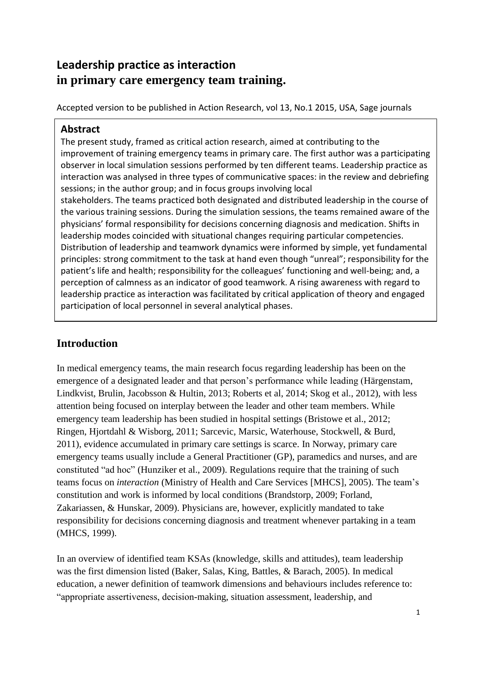# **Leadership practice as interaction in primary care emergency team training.**

Accepted version to be published in Action Research, vol 13, No.1 2015, USA, Sage journals

## **Abstract**

The present study, framed as critical action research, aimed at contributing to the improvement of training emergency teams in primary care. The first author was a participating observer in local simulation sessions performed by ten different teams. Leadership practice as interaction was analysed in three types of communicative spaces: in the review and debriefing sessions; in the author group; and in focus groups involving local stakeholders. The teams practiced both designated and distributed leadership in the course of the various training sessions. During the simulation sessions, the teams remained aware of the physicians' formal responsibility for decisions concerning diagnosis and medication. Shifts in leadership modes coincided with situational changes requiring particular competencies. Distribution of leadership and teamwork dynamics were informed by simple, yet fundamental principles: strong commitment to the task at hand even though "unreal"; responsibility for the patient's life and health; responsibility for the colleagues' functioning and well-being; and, a perception of calmness as an indicator of good teamwork. A rising awareness with regard to leadership practice as interaction was facilitated by critical application of theory and engaged participation of local personnel in several analytical phases.

# **Introduction**

In medical emergency teams, the main research focus regarding leadership has been on the emergence of a designated leader and that person's performance while leading (Härgenstam, Lindkvist, Brulin, Jacobsson & Hultin, 2013; Roberts et al, 2014; Skog et al., 2012), with less attention being focused on interplay between the leader and other team members. While emergency team leadership has been studied in hospital settings (Bristowe et al., 2012; Ringen, Hjortdahl & Wisborg, 2011; Sarcevic, Marsic, Waterhouse, Stockwell, & Burd, 2011), evidence accumulated in primary care settings is scarce. In Norway, primary care emergency teams usually include a General Practitioner (GP), paramedics and nurses, and are constituted "ad hoc" (Hunziker et al., 2009). Regulations require that the training of such teams focus on *interaction* (Ministry of Health and Care Services [MHCS], 2005). The team's constitution and work is informed by local conditions (Brandstorp, 2009; Forland, Zakariassen, & Hunskar, 2009). Physicians are, however, explicitly mandated to take responsibility for decisions concerning diagnosis and treatment whenever partaking in a team (MHCS, 1999).

In an overview of identified team KSAs (knowledge, skills and attitudes), team leadership was the first dimension listed (Baker, Salas, King, Battles, & Barach, 2005). In medical education, a newer definition of teamwork dimensions and behaviours includes reference to: "appropriate assertiveness, decision-making, situation assessment, leadership, and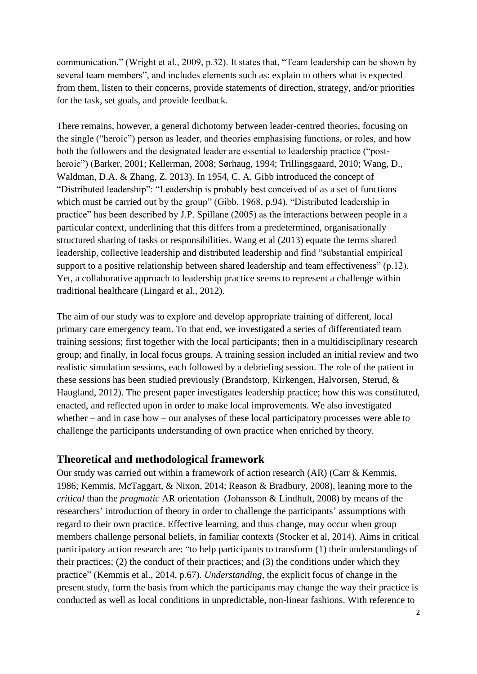communication." (Wright et al., 2009, p.32). It states that, "Team leadership can be shown by several team members", and includes elements such as: explain to others what is expected from them, listen to their concerns, provide statements of direction, strategy, and/or priorities for the task, set goals, and provide feedback.

There remains, however, a general dichotomy between leader-centred theories, focusing on the single ("heroic") person as leader, and theories emphasising functions, or roles, and how both the followers and the designated leader are essential to leadership practice ("postheroic") (Barker, 2001; Kellerman, 2008; Sørhaug, 1994; Trillingsgaard, 2010; Wang, D., Waldman, D.A. & Zhang, Z. 2013). In 1954, C. A. Gibb introduced the concept of "Distributed leadership": "Leadership is probably best conceived of as a set of functions which must be carried out by the group" (Gibb, 1968, p.94). "Distributed leadership in practice" has been described by J.P. Spillane (2005) as the interactions between people in a particular context, underlining that this differs from a predetermined, organisationally structured sharing of tasks or responsibilities. Wang et al (2013) equate the terms shared leadership, collective leadership and distributed leadership and find "substantial empirical support to a positive relationship between shared leadership and team effectiveness" (p.12). Yet, a collaborative approach to leadership practice seems to represent a challenge within traditional healthcare (Lingard et al., 2012).

The aim of our study was to explore and develop appropriate training of different, local primary care emergency team. To that end, we investigated a series of differentiated team training sessions; first together with the local participants; then in a multidisciplinary research group; and finally, in local focus groups. A training session included an initial review and two realistic simulation sessions, each followed by a debriefing session. The role of the patient in these sessions has been studied previously (Brandstorp, Kirkengen, Halvorsen, Sterud, & Haugland, 2012). The present paper investigates leadership practice; how this was constituted, enacted, and reflected upon in order to make local improvements. We also investigated whether – and in case how – our analyses of these local participatory processes were able to challenge the participants understanding of own practice when enriched by theory.

## **Theoretical and methodological framework**

Our study was carried out within a framework of action research (AR) (Carr & Kemmis, 1986; Kemmis, McTaggart, & Nixon, 2014; Reason & Bradbury, 2008), leaning more to the *critical* than the *pragmatic* AR orientation (Johansson & Lindhult, 2008) by means of the researchers' introduction of theory in order to challenge the participants' assumptions with regard to their own practice. Effective learning, and thus change, may occur when group members challenge personal beliefs, in familiar contexts (Stocker et al, 2014). Aims in critical participatory action research are: "to help participants to transform (1) their understandings of their practices; (2) the conduct of their practices; and (3) the conditions under which they practice" (Kemmis et al., 2014, p.67). *Understanding,* the explicit focus of change in the present study, form the basis from which the participants may change the way their practice is conducted as well as local conditions in unpredictable, non-linear fashions. With reference to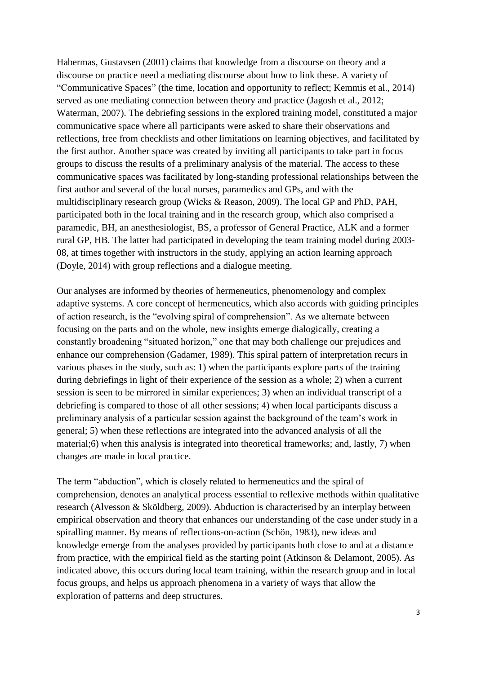Habermas, Gustavsen (2001) claims that knowledge from a discourse on theory and a discourse on practice need a mediating discourse about how to link these. A variety of "Communicative Spaces" (the time, location and opportunity to reflect; Kemmis et al., 2014) served as one mediating connection between theory and practice (Jagosh et al., 2012; Waterman, 2007). The debriefing sessions in the explored training model, constituted a major communicative space where all participants were asked to share their observations and reflections, free from checklists and other limitations on learning objectives, and facilitated by the first author. Another space was created by inviting all participants to take part in focus groups to discuss the results of a preliminary analysis of the material. The access to these communicative spaces was facilitated by long-standing professional relationships between the first author and several of the local nurses, paramedics and GPs, and with the multidisciplinary research group (Wicks & Reason, 2009). The local GP and PhD, PAH, participated both in the local training and in the research group, which also comprised a paramedic, BH, an anesthesiologist, BS, a professor of General Practice, ALK and a former rural GP, HB. The latter had participated in developing the team training model during 2003- 08, at times together with instructors in the study, applying an action learning approach (Doyle, 2014) with group reflections and a dialogue meeting.

Our analyses are informed by theories of hermeneutics, phenomenology and complex adaptive systems. A core concept of hermeneutics, which also accords with guiding principles of action research, is the "evolving spiral of comprehension". As we alternate between focusing on the parts and on the whole, new insights emerge dialogically, creating a constantly broadening "situated horizon," one that may both challenge our prejudices and enhance our comprehension (Gadamer, 1989). This spiral pattern of interpretation recurs in various phases in the study, such as: 1) when the participants explore parts of the training during debriefings in light of their experience of the session as a whole; 2) when a current session is seen to be mirrored in similar experiences; 3) when an individual transcript of a debriefing is compared to those of all other sessions; 4) when local participants discuss a preliminary analysis of a particular session against the background of the team's work in general; 5) when these reflections are integrated into the advanced analysis of all the material;6) when this analysis is integrated into theoretical frameworks; and, lastly, 7) when changes are made in local practice.

The term "abduction", which is closely related to hermeneutics and the spiral of comprehension, denotes an analytical process essential to reflexive methods within qualitative research (Alvesson & Sköldberg, 2009). Abduction is characterised by an interplay between empirical observation and theory that enhances our understanding of the case under study in a spiralling manner. By means of reflections-on-action (Schön, 1983), new ideas and knowledge emerge from the analyses provided by participants both close to and at a distance from practice, with the empirical field as the starting point (Atkinson & Delamont, 2005). As indicated above, this occurs during local team training, within the research group and in local focus groups, and helps us approach phenomena in a variety of ways that allow the exploration of patterns and deep structures.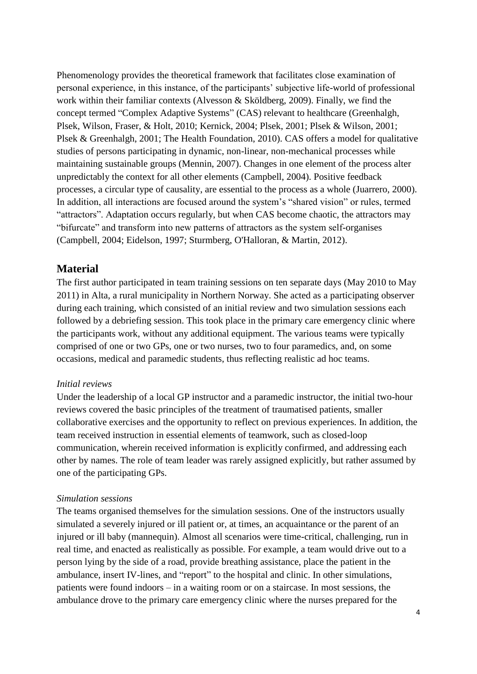Phenomenology provides the theoretical framework that facilitates close examination of personal experience, in this instance, of the participants' subjective life-world of professional work within their familiar contexts (Alvesson & Sköldberg, 2009). Finally, we find the concept termed "Complex Adaptive Systems" (CAS) relevant to healthcare (Greenhalgh, Plsek, Wilson, Fraser, & Holt, 2010; Kernick, 2004; Plsek, 2001; Plsek & Wilson, 2001; Plsek & Greenhalgh, 2001; The Health Foundation, 2010). CAS offers a model for qualitative studies of persons participating in dynamic, non-linear, non-mechanical processes while maintaining sustainable groups (Mennin, 2007). Changes in one element of the process alter unpredictably the context for all other elements (Campbell, 2004). Positive feedback processes, a circular type of causality, are essential to the process as a whole (Juarrero, 2000). In addition, all interactions are focused around the system's "shared vision" or rules, termed "attractors". Adaptation occurs regularly, but when CAS become chaotic, the attractors may "bifurcate" and transform into new patterns of attractors as the system self-organises (Campbell, 2004; Eidelson, 1997; Sturmberg, O'Halloran, & Martin, 2012).

### **Material**

The first author participated in team training sessions on ten separate days (May 2010 to May 2011) in Alta, a rural municipality in Northern Norway. She acted as a participating observer during each training, which consisted of an initial review and two simulation sessions each followed by a debriefing session. This took place in the primary care emergency clinic where the participants work, without any additional equipment. The various teams were typically comprised of one or two GPs, one or two nurses, two to four paramedics, and, on some occasions, medical and paramedic students, thus reflecting realistic ad hoc teams.

#### *Initial reviews*

Under the leadership of a local GP instructor and a paramedic instructor, the initial two-hour reviews covered the basic principles of the treatment of traumatised patients, smaller collaborative exercises and the opportunity to reflect on previous experiences. In addition, the team received instruction in essential elements of teamwork, such as closed-loop communication, wherein received information is explicitly confirmed, and addressing each other by names. The role of team leader was rarely assigned explicitly, but rather assumed by one of the participating GPs.

#### *Simulation sessions*

The teams organised themselves for the simulation sessions. One of the instructors usually simulated a severely injured or ill patient or, at times, an acquaintance or the parent of an injured or ill baby (mannequin). Almost all scenarios were time-critical, challenging, run in real time, and enacted as realistically as possible. For example, a team would drive out to a person lying by the side of a road, provide breathing assistance, place the patient in the ambulance, insert IV-lines, and "report" to the hospital and clinic. In other simulations, patients were found indoors – in a waiting room or on a staircase. In most sessions, the ambulance drove to the primary care emergency clinic where the nurses prepared for the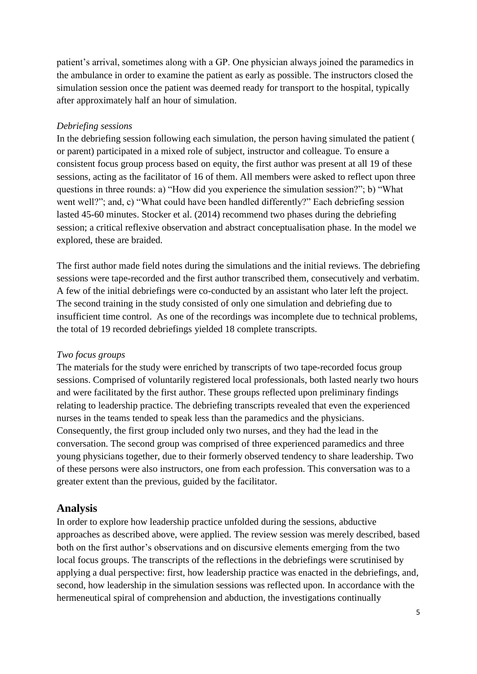patient's arrival, sometimes along with a GP. One physician always joined the paramedics in the ambulance in order to examine the patient as early as possible. The instructors closed the simulation session once the patient was deemed ready for transport to the hospital, typically after approximately half an hour of simulation.

#### *Debriefing sessions*

In the debriefing session following each simulation, the person having simulated the patient ( or parent) participated in a mixed role of subject, instructor and colleague. To ensure a consistent focus group process based on equity, the first author was present at all 19 of these sessions, acting as the facilitator of 16 of them. All members were asked to reflect upon three questions in three rounds: a) "How did you experience the simulation session?"; b) "What went well?"; and, c) "What could have been handled differently?" Each debriefing session lasted 45-60 minutes. Stocker et al. (2014) recommend two phases during the debriefing session; a critical reflexive observation and abstract conceptualisation phase. In the model we explored, these are braided.

The first author made field notes during the simulations and the initial reviews. The debriefing sessions were tape-recorded and the first author transcribed them, consecutively and verbatim. A few of the initial debriefings were co-conducted by an assistant who later left the project. The second training in the study consisted of only one simulation and debriefing due to insufficient time control. As one of the recordings was incomplete due to technical problems, the total of 19 recorded debriefings yielded 18 complete transcripts.

#### *Two focus groups*

The materials for the study were enriched by transcripts of two tape-recorded focus group sessions. Comprised of voluntarily registered local professionals, both lasted nearly two hours and were facilitated by the first author. These groups reflected upon preliminary findings relating to leadership practice. The debriefing transcripts revealed that even the experienced nurses in the teams tended to speak less than the paramedics and the physicians. Consequently, the first group included only two nurses, and they had the lead in the conversation. The second group was comprised of three experienced paramedics and three young physicians together, due to their formerly observed tendency to share leadership. Two of these persons were also instructors, one from each profession. This conversation was to a greater extent than the previous, guided by the facilitator.

## **Analysis**

In order to explore how leadership practice unfolded during the sessions, abductive approaches as described above, were applied. The review session was merely described, based both on the first author's observations and on discursive elements emerging from the two local focus groups. The transcripts of the reflections in the debriefings were scrutinised by applying a dual perspective: first, how leadership practice was enacted in the debriefings, and, second, how leadership in the simulation sessions was reflected upon. In accordance with the hermeneutical spiral of comprehension and abduction, the investigations continually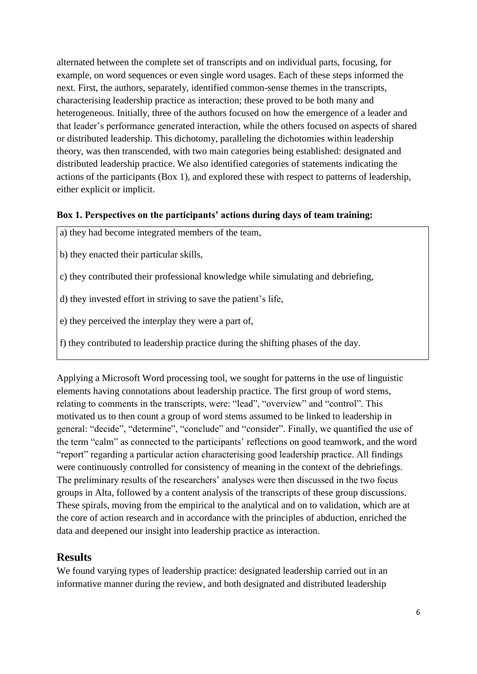alternated between the complete set of transcripts and on individual parts, focusing, for example, on word sequences or even single word usages. Each of these steps informed the next. First, the authors, separately, identified common-sense themes in the transcripts, characterising leadership practice as interaction; these proved to be both many and heterogeneous. Initially, three of the authors focused on how the emergence of a leader and that leader's performance generated interaction, while the others focused on aspects of shared or distributed leadership. This dichotomy, paralleling the dichotomies within leadership theory, was then transcended, with two main categories being established: designated and distributed leadership practice. We also identified categories of statements indicating the actions of the participants (Box 1), and explored these with respect to patterns of leadership, either explicit or implicit.

#### **Box 1. Perspectives on the participants' actions during days of team training:**

a) they had become integrated members of the team,

- b) they enacted their particular skills,
- c) they contributed their professional knowledge while simulating and debriefing,
- d) they invested effort in striving to save the patient's life,
- e) they perceived the interplay they were a part of,
- f) they contributed to leadership practice during the shifting phases of the day.

Applying a Microsoft Word processing tool, we sought for patterns in the use of linguistic elements having connotations about leadership practice. The first group of word stems, relating to comments in the transcripts, were: "lead", "overview" and "control". This motivated us to then count a group of word stems assumed to be linked to leadership in general: "decide", "determine", "conclude" and "consider". Finally, we quantified the use of the term "calm" as connected to the participants' reflections on good teamwork, and the word "report" regarding a particular action characterising good leadership practice. All findings were continuously controlled for consistency of meaning in the context of the debriefings. The preliminary results of the researchers' analyses were then discussed in the two focus groups in Alta, followed by a content analysis of the transcripts of these group discussions. These spirals, moving from the empirical to the analytical and on to validation, which are at the core of action research and in accordance with the principles of abduction, enriched the data and deepened our insight into leadership practice as interaction.

## **Results**

We found varying types of leadership practice: designated leadership carried out in an informative manner during the review, and both designated and distributed leadership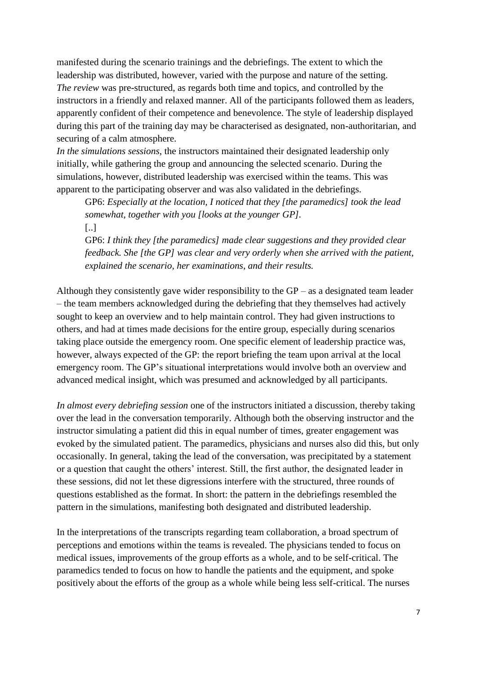manifested during the scenario trainings and the debriefings. The extent to which the leadership was distributed, however, varied with the purpose and nature of the setting. *The review* was pre-structured, as regards both time and topics, and controlled by the instructors in a friendly and relaxed manner. All of the participants followed them as leaders, apparently confident of their competence and benevolence. The style of leadership displayed during this part of the training day may be characterised as designated, non-authoritarian, and securing of a calm atmosphere.

*In the simulations sessions*, the instructors maintained their designated leadership only initially, while gathering the group and announcing the selected scenario. During the simulations, however, distributed leadership was exercised within the teams. This was apparent to the participating observer and was also validated in the debriefings.

GP6: *Especially at the location, I noticed that they [the paramedics] took the lead somewhat, together with you [looks at the younger GP].* [..]

GP6: *I think they [the paramedics] made clear suggestions and they provided clear feedback. She [the GP] was clear and very orderly when she arrived with the patient, explained the scenario, her examinations, and their results.*

Although they consistently gave wider responsibility to the  $GP - as$  a designated team leader – the team members acknowledged during the debriefing that they themselves had actively sought to keep an overview and to help maintain control. They had given instructions to others, and had at times made decisions for the entire group, especially during scenarios taking place outside the emergency room. One specific element of leadership practice was, however, always expected of the GP: the report briefing the team upon arrival at the local emergency room. The GP's situational interpretations would involve both an overview and advanced medical insight, which was presumed and acknowledged by all participants.

*In almost every debriefing session* one of the instructors initiated a discussion, thereby taking over the lead in the conversation temporarily. Although both the observing instructor and the instructor simulating a patient did this in equal number of times, greater engagement was evoked by the simulated patient. The paramedics, physicians and nurses also did this, but only occasionally. In general, taking the lead of the conversation, was precipitated by a statement or a question that caught the others' interest. Still, the first author, the designated leader in these sessions, did not let these digressions interfere with the structured, three rounds of questions established as the format. In short: the pattern in the debriefings resembled the pattern in the simulations, manifesting both designated and distributed leadership.

In the interpretations of the transcripts regarding team collaboration, a broad spectrum of perceptions and emotions within the teams is revealed. The physicians tended to focus on medical issues, improvements of the group efforts as a whole, and to be self-critical. The paramedics tended to focus on how to handle the patients and the equipment, and spoke positively about the efforts of the group as a whole while being less self-critical. The nurses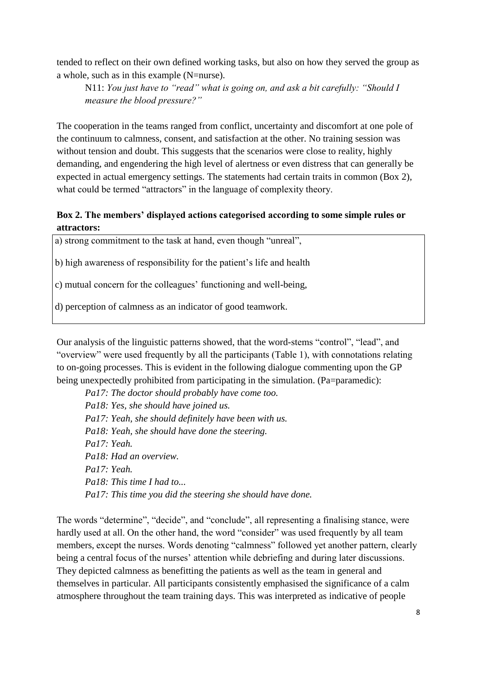tended to reflect on their own defined working tasks, but also on how they served the group as a whole, such as in this example (N=nurse).

N11: *You just have to "read" what is going on, and ask a bit carefully: "Should I measure the blood pressure?"*

The cooperation in the teams ranged from conflict, uncertainty and discomfort at one pole of the continuum to calmness, consent, and satisfaction at the other. No training session was without tension and doubt. This suggests that the scenarios were close to reality, highly demanding, and engendering the high level of alertness or even distress that can generally be expected in actual emergency settings. The statements had certain traits in common (Box 2), what could be termed "attractors" in the language of complexity theory.

## **Box 2. The members' displayed actions categorised according to some simple rules or attractors:**

a) strong commitment to the task at hand, even though "unreal",

b) high awareness of responsibility for the patient's life and health

c) mutual concern for the colleagues' functioning and well-being,

d) perception of calmness as an indicator of good teamwork.

Our analysis of the linguistic patterns showed, that the word-stems "control", "lead", and "overview" were used frequently by all the participants (Table 1), with connotations relating to on-going processes. This is evident in the following dialogue commenting upon the GP being unexpectedly prohibited from participating in the simulation. (Pa=paramedic):

*Pa17: The doctor should probably have come too. Pa18: Yes, she should have joined us. Pa17: Yeah, she should definitely have been with us. Pa18: Yeah, she should have done the steering. Pa17: Yeah. Pa18: Had an overview. Pa17: Yeah. Pa18: This time I had to... Pa17: This time you did the steering she should have done.*

The words "determine", "decide", and "conclude", all representing a finalising stance, were hardly used at all. On the other hand, the word "consider" was used frequently by all team members, except the nurses. Words denoting "calmness" followed yet another pattern, clearly being a central focus of the nurses' attention while debriefing and during later discussions. They depicted calmness as benefitting the patients as well as the team in general and themselves in particular. All participants consistently emphasised the significance of a calm atmosphere throughout the team training days. This was interpreted as indicative of people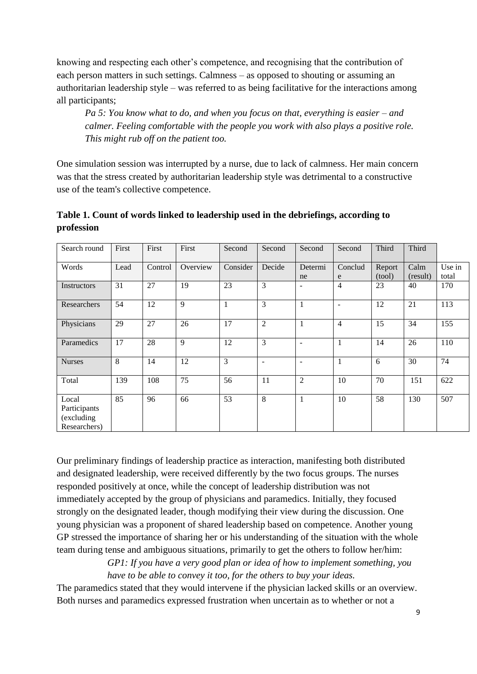knowing and respecting each other's competence, and recognising that the contribution of each person matters in such settings. Calmness – as opposed to shouting or assuming an authoritarian leadership style – was referred to as being facilitative for the interactions among all participants;

*Pa 5: You know what to do, and when you focus on that, everything is easier – and calmer. Feeling comfortable with the people you work with also plays a positive role. This might rub off on the patient too.* 

One simulation session was interrupted by a nurse, due to lack of calmness. Her main concern was that the stress created by authoritarian leadership style was detrimental to a constructive use of the team's collective competence.

**Table 1. Count of words linked to leadership used in the debriefings, according to profession**

| Search round                                        | First | First   | First    | Second         | Second            | Second                   | Second       | Third            | Third            |                 |
|-----------------------------------------------------|-------|---------|----------|----------------|-------------------|--------------------------|--------------|------------------|------------------|-----------------|
| Words                                               | Lead  | Control | Overview | Consider       | Decide            | Determi<br>ne            | Conclud<br>e | Report<br>(tool) | Calm<br>(result) | Use in<br>total |
| Instructors                                         | 31    | 27      | 19       | 23             | 3                 | $\blacksquare$           | 4            | 23               | 40               | 170             |
| Researchers                                         | 54    | 12      | 9        | $\mathbf{1}$   | 3                 | $\mathbf{1}$             | ۰            | 12               | 21               | 113             |
| Physicians                                          | 29    | 27      | 26       | 17             | $\overline{2}$    | $\mathbf{1}$             | 4            | 15               | 34               | 155             |
| Paramedics                                          | 17    | 28      | 9        | 12             | 3                 | $\overline{\phantom{a}}$ | $\mathbf{1}$ | 14               | 26               | 110             |
| <b>Nurses</b>                                       | 8     | 14      | 12       | $\overline{3}$ | $\qquad \qquad -$ | $\overline{\phantom{a}}$ | $\mathbf{1}$ | 6                | 30               | 74              |
| Total                                               | 139   | 108     | 75       | 56             | 11                | $\overline{2}$           | 10           | 70               | 151              | 622             |
| Local<br>Participants<br>(excluding<br>Researchers) | 85    | 96      | 66       | 53             | 8                 | 1                        | 10           | 58               | 130              | 507             |

Our preliminary findings of leadership practice as interaction, manifesting both distributed and designated leadership, were received differently by the two focus groups. The nurses responded positively at once, while the concept of leadership distribution was not immediately accepted by the group of physicians and paramedics. Initially, they focused strongly on the designated leader, though modifying their view during the discussion. One young physician was a proponent of shared leadership based on competence. Another young GP stressed the importance of sharing her or his understanding of the situation with the whole team during tense and ambiguous situations, primarily to get the others to follow her/him:

> *GP1: If you have a very good plan or idea of how to implement something, you have to be able to convey it too, for the others to buy your ideas.*

The paramedics stated that they would intervene if the physician lacked skills or an overview. Both nurses and paramedics expressed frustration when uncertain as to whether or not a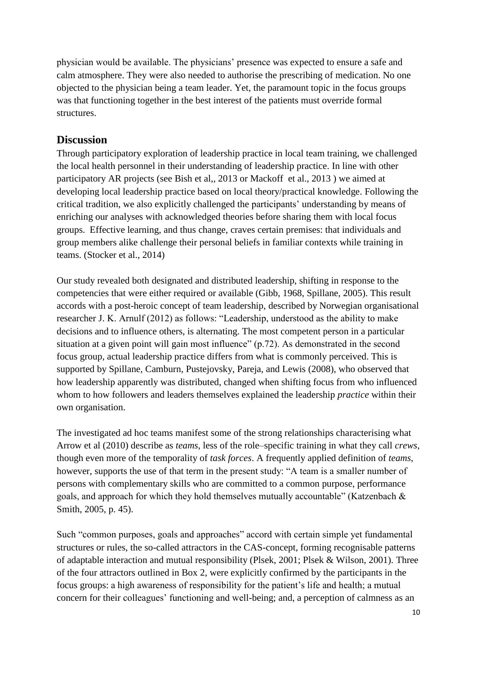physician would be available. The physicians' presence was expected to ensure a safe and calm atmosphere. They were also needed to authorise the prescribing of medication. No one objected to the physician being a team leader. Yet, the paramount topic in the focus groups was that functioning together in the best interest of the patients must override formal structures.

# **Discussion**

Through participatory exploration of leadership practice in local team training, we challenged the local health personnel in their understanding of leadership practice. In line with other participatory AR projects (see Bish et al,, 2013 or Mackoff et al., 2013 ) we aimed at developing local leadership practice based on local theory/practical knowledge. Following the critical tradition, we also explicitly challenged the participants' understanding by means of enriching our analyses with acknowledged theories before sharing them with local focus groups. Effective learning, and thus change, craves certain premises: that individuals and group members alike challenge their personal beliefs in familiar contexts while training in teams. (Stocker et al., 2014)

Our study revealed both designated and distributed leadership, shifting in response to the competencies that were either required or available (Gibb, 1968, Spillane, 2005). This result accords with a post-heroic concept of team leadership, described by Norwegian organisational researcher J. K. Arnulf (2012) as follows: "Leadership, understood as the ability to make decisions and to influence others, is alternating. The most competent person in a particular situation at a given point will gain most influence" (p.72). As demonstrated in the second focus group, actual leadership practice differs from what is commonly perceived. This is supported by Spillane, Camburn, Pustejovsky, Pareja, and Lewis (2008), who observed that how leadership apparently was distributed, changed when shifting focus from who influenced whom to how followers and leaders themselves explained the leadership *practice* within their own organisation.

The investigated ad hoc teams manifest some of the strong relationships characterising what Arrow et al (2010) describe as *teams*, less of the role–specific training in what they call *crews*, though even more of the temporality of *task forces*. A frequently applied definition of *teams*, however, supports the use of that term in the present study: "A team is a smaller number of persons with complementary skills who are committed to a common purpose, performance goals, and approach for which they hold themselves mutually accountable" (Katzenbach & Smith, 2005, p. 45).

Such "common purposes, goals and approaches" accord with certain simple yet fundamental structures or rules, the so-called attractors in the CAS-concept, forming recognisable patterns of adaptable interaction and mutual responsibility (Plsek, 2001; Plsek & Wilson, 2001). Three of the four attractors outlined in Box 2, were explicitly confirmed by the participants in the focus groups: a high awareness of responsibility for the patient's life and health; a mutual concern for their colleagues' functioning and well-being; and, a perception of calmness as an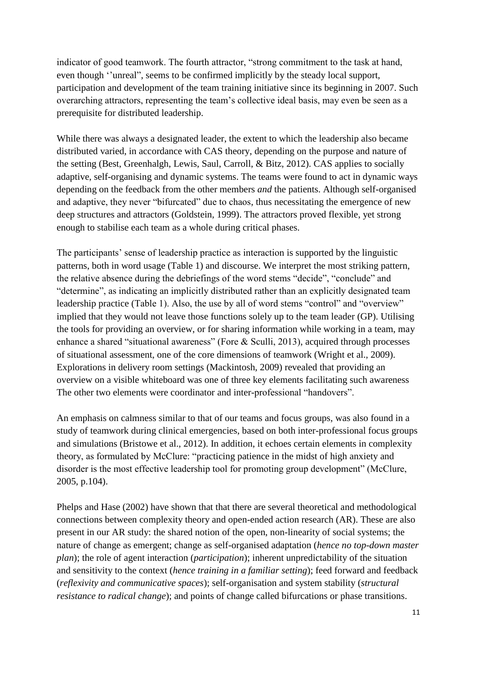indicator of good teamwork. The fourth attractor, "strong commitment to the task at hand, even though ''unreal", seems to be confirmed implicitly by the steady local support, participation and development of the team training initiative since its beginning in 2007. Such overarching attractors, representing the team's collective ideal basis, may even be seen as a prerequisite for distributed leadership.

While there was always a designated leader, the extent to which the leadership also became distributed varied, in accordance with CAS theory, depending on the purpose and nature of the setting (Best, Greenhalgh, Lewis, Saul, Carroll, & Bitz, 2012). CAS applies to socially adaptive, self-organising and dynamic systems. The teams were found to act in dynamic ways depending on the feedback from the other members *and* the patients. Although self-organised and adaptive, they never "bifurcated" due to chaos, thus necessitating the emergence of new deep structures and attractors (Goldstein, 1999). The attractors proved flexible, yet strong enough to stabilise each team as a whole during critical phases.

The participants' sense of leadership practice as interaction is supported by the linguistic patterns, both in word usage (Table 1) and discourse. We interpret the most striking pattern, the relative absence during the debriefings of the word stems "decide", "conclude" and "determine", as indicating an implicitly distributed rather than an explicitly designated team leadership practice (Table 1). Also, the use by all of word stems "control" and "overview" implied that they would not leave those functions solely up to the team leader (GP). Utilising the tools for providing an overview, or for sharing information while working in a team, may enhance a shared "situational awareness" (Fore & Sculli, 2013), acquired through processes of situational assessment, one of the core dimensions of teamwork (Wright et al., 2009). Explorations in delivery room settings (Mackintosh, 2009) revealed that providing an overview on a visible whiteboard was one of three key elements facilitating such awareness The other two elements were coordinator and inter-professional "handovers".

An emphasis on calmness similar to that of our teams and focus groups, was also found in a study of teamwork during clinical emergencies, based on both inter-professional focus groups and simulations (Bristowe et al., 2012). In addition, it echoes certain elements in complexity theory, as formulated by McClure: "practicing patience in the midst of high anxiety and disorder is the most effective leadership tool for promoting group development" (McClure, 2005, p.104).

Phelps and Hase (2002) have shown that that there are several theoretical and methodological connections between complexity theory and open-ended action research (AR). These are also present in our AR study: the shared notion of the open, non-linearity of social systems; the nature of change as emergent; change as self-organised adaptation (*hence no top-down master plan*); the role of agent interaction (*participation*); inherent unpredictability of the situation and sensitivity to the context (*hence training in a familiar setting*); feed forward and feedback (*reflexivity and communicative spaces*); self-organisation and system stability (*structural resistance to radical change*); and points of change called bifurcations or phase transitions.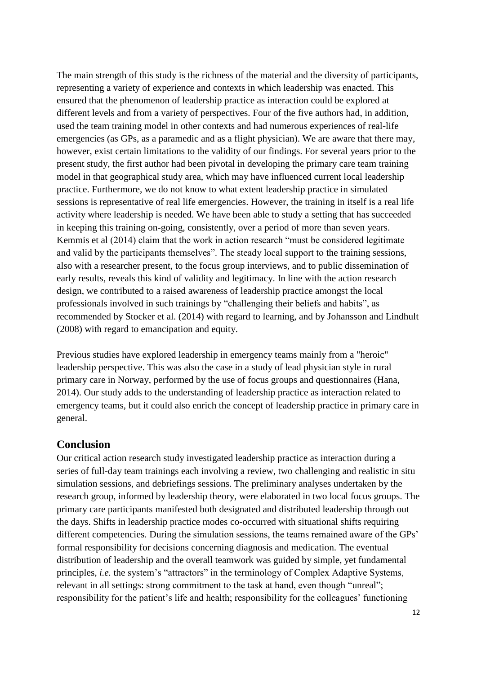The main strength of this study is the richness of the material and the diversity of participants, representing a variety of experience and contexts in which leadership was enacted. This ensured that the phenomenon of leadership practice as interaction could be explored at different levels and from a variety of perspectives. Four of the five authors had, in addition, used the team training model in other contexts and had numerous experiences of real-life emergencies (as GPs, as a paramedic and as a flight physician). We are aware that there may, however, exist certain limitations to the validity of our findings. For several years prior to the present study, the first author had been pivotal in developing the primary care team training model in that geographical study area, which may have influenced current local leadership practice. Furthermore, we do not know to what extent leadership practice in simulated sessions is representative of real life emergencies. However, the training in itself is a real life activity where leadership is needed. We have been able to study a setting that has succeeded in keeping this training on-going, consistently, over a period of more than seven years. Kemmis et al (2014) claim that the work in action research "must be considered legitimate and valid by the participants themselves". The steady local support to the training sessions, also with a researcher present, to the focus group interviews, and to public dissemination of early results, reveals this kind of validity and legitimacy. In line with the action research design, we contributed to a raised awareness of leadership practice amongst the local professionals involved in such trainings by "challenging their beliefs and habits", as recommended by Stocker et al. (2014) with regard to learning, and by Johansson and Lindhult (2008) with regard to emancipation and equity.

Previous studies have explored leadership in emergency teams mainly from a "heroic" leadership perspective. This was also the case in a study of lead physician style in rural primary care in Norway, performed by the use of focus groups and questionnaires (Hana, 2014). Our study adds to the understanding of leadership practice as interaction related to emergency teams, but it could also enrich the concept of leadership practice in primary care in general.

### **Conclusion**

Our critical action research study investigated leadership practice as interaction during a series of full-day team trainings each involving a review, two challenging and realistic in situ simulation sessions, and debriefings sessions. The preliminary analyses undertaken by the research group, informed by leadership theory, were elaborated in two local focus groups. The primary care participants manifested both designated and distributed leadership through out the days. Shifts in leadership practice modes co-occurred with situational shifts requiring different competencies. During the simulation sessions, the teams remained aware of the GPs' formal responsibility for decisions concerning diagnosis and medication. The eventual distribution of leadership and the overall teamwork was guided by simple, yet fundamental principles, *i.e.* the system's "attractors" in the terminology of Complex Adaptive Systems, relevant in all settings: strong commitment to the task at hand, even though "unreal"; responsibility for the patient's life and health; responsibility for the colleagues' functioning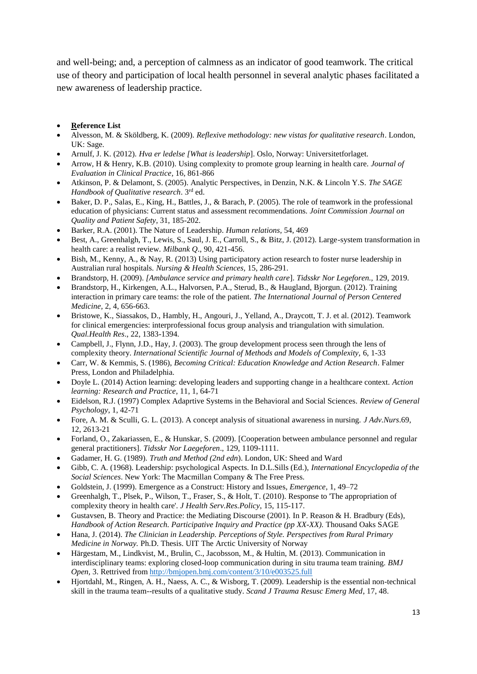and well-being; and, a perception of calmness as an indicator of good teamwork. The critical use of theory and participation of local health personnel in several analytic phases facilitated a new awareness of leadership practice.

- **Reference List**
- Alvesson, M. & Sköldberg, K. (2009). *Reflexive methodology: new vistas for qualitative research*. London, UK: Sage.
- Arnulf, J. K. (2012). *Hva er ledelse [What is leadership*]. Oslo, Norway: Universitetforlaget.
- Arrow, H & Henry, K.B. (2010). Using complexity to promote group learning in health care. *Journal of Evaluation in Clinical Practice,* 16, 861-866
- Atkinson, P. & Delamont, S. (2005). Analytic Perspectives, in Denzin, N.K. & Lincoln Y.S. *The SAGE*  Handbook of Qualitative research. 3<sup>rd</sup> ed.
- Baker, D. P., Salas, E., King, H., Battles, J., & Barach, P. (2005). The role of teamwork in the professional education of physicians: Current status and assessment recommendations. *Joint Commission Journal on Quality and Patient Safety,* 31, 185-202.
- Barker, R.A. (2001). The Nature of Leadership. *Human relations,* 54, 469
- Best, A., Greenhalgh, T., Lewis, S., Saul, J. E., Carroll, S., & Bitz, J. (2012). Large-system transformation in health care: a realist review. *Milbank Q*., 90, 421-456.
- Bish, M., Kenny, A., & Nay, R. (2013) Using participatory action research to foster nurse leadership in Australian rural hospitals. *Nursing & Health Sciences,* 15, 286-291.
- Brandstorp, H. (2009). *[Ambulance service and primary health care*]. *Tidsskr Nor Legeforen.,* 129, 2019.
- Brandstorp, H., Kirkengen, A.L., Halvorsen, P.A., Sterud, B., & Haugland, Bjorgun. (2012). Training interaction in primary care teams: the role of the patient. *The International Journal of Person Centered Medicine,* 2, 4, 656-663.
- Bristowe, K., Siassakos, D., Hambly, H., Angouri, J., Yelland, A., Draycott, T. J. et al. (2012). Teamwork for clinical emergencies: interprofessional focus group analysis and triangulation with simulation. *Qual.Health Res*., 22, 1383-1394.
- Campbell, J., Flynn, J.D., Hay, J. (2003). The group development process seen through the lens of complexity theory. *International Scientific Journal of Methods and Models of Complexity,* 6, 1-33
- Carr, W. & Kemmis, S. (1986), *Becoming Critical: Education Knowledge and Action Research*. Falmer Press, London and Philadelphia.
- Doyle L. (2014) Action learning: developing leaders and supporting change in a healthcare context. *Action learning: Research and Practice*, 11, 1, 64-71
- Eidelson, R.J. (1997) Complex Adaprtive Systems in the Behavioral and Social Sciences. *Review of General Psychology*, 1, 42-71
- Fore, A. M. & Sculli, G. L. (2013). A concept analysis of situational awareness in nursing. *J Adv.Nurs*.69, 12, 2613-21
- Forland, O., Zakariassen, E., & Hunskar, S. (2009). [Cooperation between ambulance personnel and regular general practitioners]. *Tidsskr Nor Laegeforen*., 129, 1109-1111.
- Gadamer, H. G. (1989). *Truth and Method (2nd edn*). London, UK: Sheed and Ward
- Gibb, C. A. (1968). Leadership: psychological Aspects. In D.L.Sills (Ed.), *International Encyclopedia of the Social Sciences*. New York: The Macmillan Company & The Free Press.
- Goldstein, J. (1999). Emergence as a Construct: History and Issues, *Emergence*, 1, 49–72
- Greenhalgh, T., Plsek, P., Wilson, T., Fraser, S., & Holt, T. (2010). Response to 'The appropriation of complexity theory in health care'. *J Health Serv.Res.Policy*, 15, 115-117.
- Gustavsen, B. Theory and Practice: the Mediating Discourse (2001). In P. Reason & H. Bradbury (Eds), *Handbook of Action Research. Participative Inquiry and Practice (pp XX-XX).* Thousand Oaks SAGE
- Hana, J. (2014). *The Clinician in Leadership. Perceptions of Style. Perspectives from Rural Primary Medicine in Norway.* Ph.D. Thesis. UIT The Arctic University of Norway
- Härgestam, M., Lindkvist, M., Brulin, C., Jacobsson, M., & Hultin, M. (2013). Communication in interdisciplinary teams: exploring closed-loop communication during in situ trauma team training. *BMJ Open,* 3. Rettrived from <http://bmjopen.bmj.com/content/3/10/e003525.full>
- Hjortdahl, M., Ringen, A. H., Naess, A. C., & Wisborg, T. (2009). Leadership is the essential non-technical skill in the trauma team--results of a qualitative study. *Scand J Trauma Resusc Emerg Med*, 17, 48.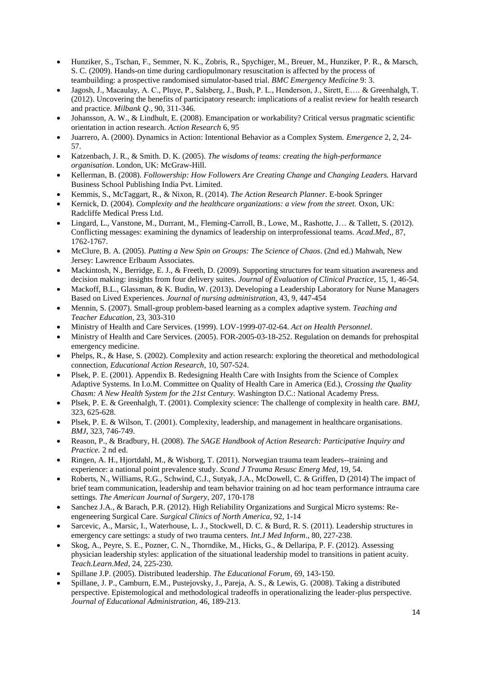- Hunziker, S., Tschan, F., Semmer, N. K., Zobris, R., Spychiger, M., Breuer, M., Hunziker, P. R., & Marsch, S. C. (2009). Hands-on time during cardiopulmonary resuscitation is affected by the process of teambuilding: a prospective randomised simulator-based trial. *BMC Emergency Medicine* 9: 3.
- Jagosh, J., Macaulay, A. C., Pluye, P., Salsberg, J., Bush, P. L., Henderson, J., Sirett, E…. & Greenhalgh, T. (2012). Uncovering the benefits of participatory research: implications of a realist review for health research and practice. *Milbank Q*., 90, 311-346.
- Johansson, A. W., & Lindhult, E. (2008). Emancipation or workability? Critical versus pragmatic scientific orientation in action research. *Action Research* 6, 95
- Juarrero, A. (2000). Dynamics in Action: Intentional Behavior as a Complex System. *Emergence* 2, 2, 24- 57.
- Katzenbach, J. R., & Smith. D. K. (2005). *The wisdoms of teams: creating the high-performance organisation*. London, UK: McGraw-Hill.
- Kellerman, B. (2008). *Followership: How Followers Are Creating Change and Changing Leaders.* Harvard Business School Publishing India Pvt. Limited.
- Kemmis, S., McTaggart, R., & Nixon, R. (2014). *The Action Research Planner*. E-book Springer
- Kernick, D. (2004). *Complexity and the healthcare organizations: a view from the street.* Oxon, UK: Radcliffe Medical Press Ltd.
- Lingard, L., Vanstone, M., Durrant, M., Fleming-Carroll, B., Lowe, M., Rashotte, J… & Tallett, S. (2012). Conflicting messages: examining the dynamics of leadership on interprofessional teams. *Acad.Med,,* 87, 1762-1767.
- McClure, B. A. (2005). *Putting a New Spin on Groups: The Science of Chaos*. (2nd ed.) Mahwah, New Jersey: Lawrence Erlbaum Associates.
- Mackintosh, N., Berridge, E. J., & Freeth, D. (2009). Supporting structures for team situation awareness and decision making: insights from four delivery suites. *Journal of Evaluation of Clinical Practice,* 15, 1, 46-54*.*
- Mackoff, B.L., Glassman, & K. Budin, W. (2013). Developing a Leadership Laboratory for Nurse Managers Based on Lived Experiences. *Journal of nursing administration,* 43, 9, 447-454
- Mennin, S. (2007). Small-group problem-based learning as a complex adaptive system. *Teaching and Teacher Education,* 23, 303-310
- Ministry of Health and Care Services. (1999). LOV-1999-07-02-64. *Act on Health Personnel*.
- Ministry of Health and Care Services. (2005). FOR-2005-03-18-252. Regulation on demands for prehospital emergency medicine.
- Phelps, R., & Hase, S. (2002). Complexity and action research: exploring the theoretical and methodological connection, *Educational Action Research*, 10, 507-524.
- Plsek, P. E. (2001). Appendix B. Redesigning Health Care with Insights from the Science of Complex Adaptive Systems. In I.o.M. Committee on Quality of Health Care in America (Ed.), *Crossing the Quality Chasm: A New Health System for the 21st Century.* Washington D.C.: National Academy Press.
- Plsek, P. E. & Greenhalgh, T. (2001). Complexity science: The challenge of complexity in health care. *BMJ*, 323, 625-628.
- Plsek, P. E. & Wilson, T. (2001). Complexity, leadership, and management in healthcare organisations. *BMJ*, 323, 746-749.
- Reason, P., & Bradbury, H. (2008). *The SAGE Handbook of Action Research: Participative Inquiry and Practice.* 2 nd ed.
- Ringen, A. H., Hjortdahl, M., & Wisborg, T. (2011). Norwegian trauma team leaders--training and experience: a national point prevalence study. *Scand J Trauma Resusc Emerg Med*, 19, 54.
- Roberts, N., Williams, R.G., Schwind, C.J., Sutyak, J.A., McDowell, C. & Griffen, D (2014) The impact of brief team communication, leadership and team behavior training on ad hoc team performance intrauma care settings*. The American Journal of Surgery*, 207, 170-178
- Sanchez J.A., & Barach, P.R. (2012). High Reliability Organizations and Surgical Micro systems: Reengeneering Surgical Care. *Surgical Clinics of North America,* 92, 1-14
- Sarcevic, A., Marsic, I., Waterhouse, L. J., Stockwell, D. C. & Burd, R. S. (2011). Leadership structures in emergency care settings: a study of two trauma centers. *Int.J Med Inform*., 80, 227-238.
- Skog, A., Peyre, S. E., Pozner, C. N., Thorndike, M., Hicks, G., & Dellaripa, P. F. (2012). Assessing physician leadership styles: application of the situational leadership model to transitions in patient acuity. *Teach.Learn.Med*, 24, 225-230.
- Spillane J.P. (2005). Distributed leadership. *The Educational Forum,* 69, 143-150.
- Spillane, J. P., Camburn, E.M., Pustejovsky, J., Pareja, A. S., & Lewis, G. (2008). Taking a distributed perspective. Epistemological and methodological tradeoffs in operationalizing the leader-plus perspective. *Journal of Educational Administration,* 46, 189-213.